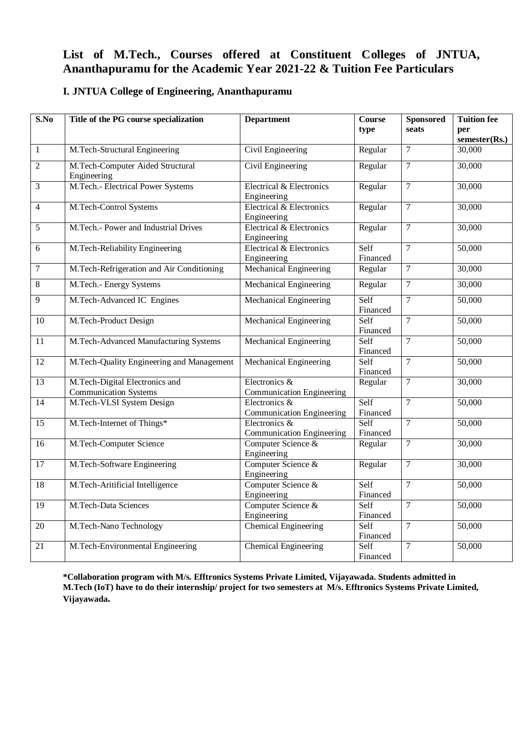## **List of M.Tech., Courses offered at Constituent Colleges of JNTUA, Ananthapuramu for the Academic Year 2021-22 & Tuition Fee Particulars**

## **I. JNTUA College of Engineering, Ananthapuramu**

| S.No             | Title of the PG course specialization                          | <b>Department</b>                                 | $\overline{\mathrm{C}}$ ourse<br>type | <b>Sponsored</b><br>seats | <b>Tuition fee</b><br>per<br>semester(Rs.) |
|------------------|----------------------------------------------------------------|---------------------------------------------------|---------------------------------------|---------------------------|--------------------------------------------|
| $\mathbf{1}$     | M.Tech-Structural Engineering                                  | Civil Engineering                                 | Regular                               | $\overline{7}$            | 30,000                                     |
| $\sqrt{2}$       | M.Tech-Computer Aided Structural<br>Engineering                | Civil Engineering                                 | Regular                               | $\tau$                    | 30,000                                     |
| $\overline{3}$   | M.Tech.- Electrical Power Systems                              | Electrical & Electronics<br>Engineering           | Regular                               | $\overline{7}$            | 30,000                                     |
| $\overline{4}$   | M.Tech-Control Systems                                         | Electrical & Electronics<br>Engineering           | Regular                               | $\boldsymbol{7}$          | 30,000                                     |
| 5                | M.Tech.- Power and Industrial Drives                           | Electrical & Electronics<br>Engineering           | Regular                               | $\overline{7}$            | 30,000                                     |
| $\overline{6}$   | M.Tech-Reliability Engineering                                 | Electrical & Electronics<br>Engineering           | Self<br>Financed                      | $\overline{7}$            | 50,000                                     |
| $\boldsymbol{7}$ | M.Tech-Refrigeration and Air Conditioning                      | Mechanical Engineering                            | Regular                               | 7                         | 30,000                                     |
| $\overline{8}$   | M.Tech.- Energy Systems                                        | Mechanical Engineering                            | Regular                               | $\overline{7}$            | 30,000                                     |
| 9                | M.Tech-Advanced IC Engines                                     | Mechanical Engineering                            | Self<br>Financed                      | $\overline{7}$            | 50,000                                     |
| 10               | M.Tech-Product Design                                          | Mechanical Engineering                            | Self<br>Financed                      | $\overline{7}$            | 50,000                                     |
| $11\,$           | M.Tech-Advanced Manufacturing Systems                          | Mechanical Engineering                            | Self<br>Financed                      | $\overline{7}$            | 50,000                                     |
| $\overline{12}$  | M.Tech-Quality Engineering and Management                      | Mechanical Engineering                            | Self<br>Financed                      | $\tau$                    | 50,000                                     |
| 13               | M.Tech-Digital Electronics and<br><b>Communication Systems</b> | Electronics &<br><b>Communication Engineering</b> | Regular                               | $\tau$                    | 30,000                                     |
| 14               | M.Tech-VLSI System Design                                      | Electronics &<br><b>Communication Engineering</b> | Self<br>Financed                      | $\overline{7}$            | 50,000                                     |
| 15               | M.Tech-Internet of Things*                                     | Electronics &<br><b>Communication Engineering</b> | Self<br>Financed                      | $\overline{7}$            | 50,000                                     |
| 16               | <b>M.Tech-Computer Science</b>                                 | Computer Science &<br>Engineering                 | Regular                               | $\tau$                    | 30,000                                     |
| 17               | M.Tech-Software Engineering                                    | Computer Science &<br>Engineering                 | Regular                               | $\overline{7}$            | 30,000                                     |
| 18               | M.Tech-Aritificial Intelligence                                | Computer Science &<br>Engineering                 | Self<br>Financed                      | $\overline{7}$            | 50,000                                     |
| 19               | M.Tech-Data Sciences                                           | Computer Science &<br>Engineering                 | Self<br>Financed                      | $\overline{7}$            | 50,000                                     |
| $\overline{20}$  | M.Tech-Nano Technology                                         | Chemical Engineering                              | Self<br>Financed                      | $\tau$                    | 50,000                                     |
| 21               | M.Tech-Environmental Engineering                               | <b>Chemical Engineering</b>                       | Self<br>Financed                      | $\overline{7}$            | 50,000                                     |

**\*Collaboration program with M/s. Efftronics Systems Private Limited, Vijayawada. Students admitted in M.Tech (IoT) have to do their internship/ project for two semesters at M/s. Efftronics Systems Private Limited, Vijayawada.**